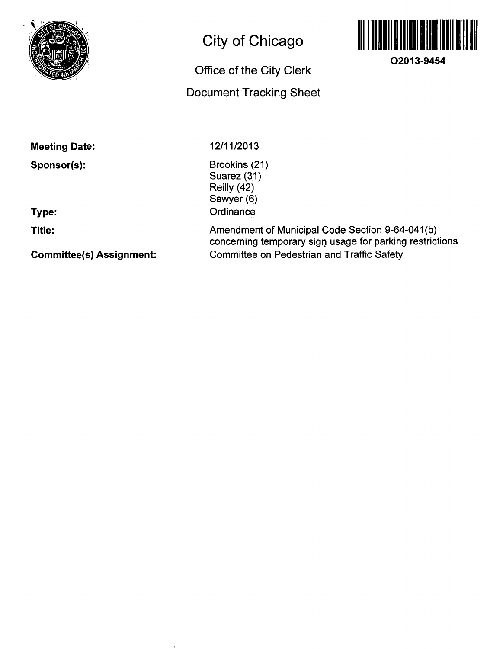

# **City of Chicago**

## **Office of the City Clerk**

## **Document Tracking Sheet**



**O2013-9454** 

**Meeting Date:** 

**Sponsor(s):** 

**Type:** 

**Title:** 

**Committee(s) Assignment:** 

12/11/2013

Brookins (21) Suarez (31) Reilly (42) Sawyer (6) **Ordinance** 

Amendment of Municipal Code Section 9-64-041(b) concerning temporary sign usage for parking restrictions Committee on Pedestrian and Traffic Safety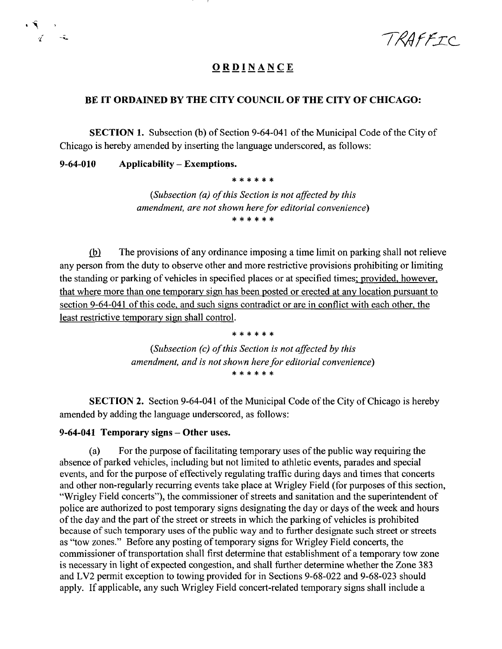TRAFFIC

## **ORDINANC E**

### **BE IT ORDAINED BY THE CITY COUNCIL OF THE CITY OF CHICAGO:**

SECTION 1. Subsection (b) of Section 9-64-041 of the Municipal Code of the City of Chicago is hereby amended by inserting the language underscored, as follows:

### **9-64-010 Applicability - Exemptions.**

 $\cdot$   $\tilde{\mathbf{y}}$ 

\* \* \* \* \* \*

*(Subsection (a) of this Section is not affected by this amendment, are not shown here for editorial convenience)*  \* \* \* \* \* \*

(b) The provisions of any ordinance imposing a time limit on parking shall not relieve any person from the duty to observe other and more restrictive provisions prohibiting or limiting the standing or parking of vehicles in specified places or at specified times; provided, however, that where more than one temporary sign has been posted or erected at any location pursuant to section 9-64-041 of this code, and such signs contradict or are in conflict with each other, the least restrictive temporary sign shall control.

> \* \* \* \* \* \* *{Subsection (c) of tins Section is not affected by this amendment, and is not shown here for editorial convenience)*

SECTION 2. Section 9-64-041 of the Municipal Code of the City of Chicago is hereby amended by adding the language underscored, as follows:

#### **9-64-041 Temporary signs - Other uses.**

(a) For the purpose of facilitating temporary uses of the public way requiring the absence of parked vehicles, including but not limited to athletic events, parades and special events, and for the purpose of effectively regulating traffic during days and times that concerts and other non-regularly recurring events take place at Wrigley Field (for purposes of this section, "Wrigley Field concerts"), the commissioner of streets and sanitation and the superintendent of police are authorized to post temporary signs designating the day or days of the week and hours of the day and the part of the street or streets in which the parking of vehicles is prohibited because of such temporary uses of the public way and to further designate such street or streets as "tow zones." Before any posting of temporary signs for Wrigley Field concerts, the commissioner of transportation shall first determine that establishment of a temporary tow zone is necessary in light of expected congestion, and shall further detennine whether the Zone 383 and LV2 permit exception to towing provided for in Sections 9-68-022 and 9-68-023 should apply. If applicable, any such Wrigley Field concert-related temporary signs shall include a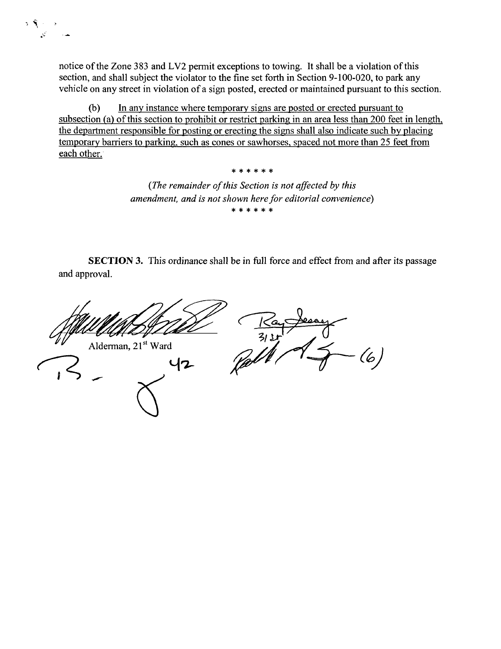notice of the Zone 383 and LV2 permit exceptions to towing. It shall be a violation of this section, and shall subject the violator to the fine set forth in Section 9-100-020, to park any vehicle on any street in violation of a sign posted, erected or maintained pursuant to this section.

र पुल

(b) In any instance where temporary signs are posted or erected pursuant to subsection (a) of this section to prohibit or restrict parking in an area less than 200 feet in length, the department responsible for posting or erecting the signs shall also indicate such by placing temporary barriers to parking, such as cones or sawhorses. spaced not more than 25 feet from each other.

> *{The remainder of this Section is not affected by this amendment, and is not shown here for editorial convenience)*  \* \* \* \* \* \*

**3|c :{c 3|c ^ :{c** 

SECTION 3. This ordinance shall be in full force and effect from and after its passage and approval.

Alderman, 21<sup>st</sup> Ward 42